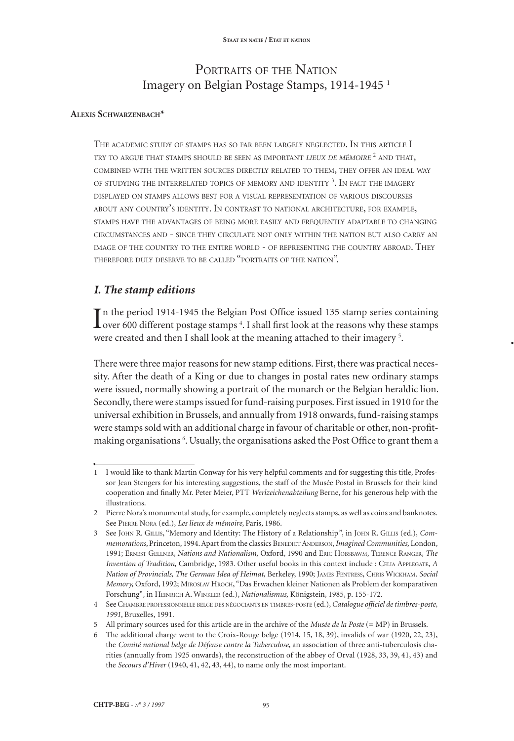## PORTRAITS OF THE NATION Imagery on Belgian Postage Stamps, 1914-1945 <sup>1</sup>

## **Alexis Schwarzenbach\***

The academic study of stamps has so far been largely neglected. In this article I try to argue that stamps should be seen as important *lieux de mémoire* <sup>2</sup> and that, combined with the written sources directly related to them, they offer an ideal way of studying the interrelated topics of memory and identity <sup>3</sup> . In fact the imagery displayed on stamps allows best for a visual representation of various discourses about any country's identity. In contrast to national architecture, for example, stamps have the advantages of being more easily and frequently adaptable to changing circumstances and - since they circulate not only within the nation but also carry an image of the country to the entire world - of representing the country abroad. They therefore duly deserve to be called "portraits of the nation".

## *I. The stamp editions*

In the period 1914-1945 the Belgian Post Office issued 135 stamp series containing over 600 different postage stamps <sup>4</sup>. I shall first look at the reasons why these stamps n the period 1914-1945 the Belgian Post Office issued 135 stamp series containing were created and then I shall look at the meaning attached to their imagery<sup>5</sup>.

**•**

There were three major reasons for new stamp editions. First, there was practical necessity. After the death of a King or due to changes in postal rates new ordinary stamps were issued, normally showing a portrait of the monarch or the Belgian heraldic lion. Secondly, there were stamps issued for fund-raising purposes. First issued in 1910 for the universal exhibition in Brussels, and annually from 1918 onwards, fund-raising stamps were stamps sold with an additional charge in favour of charitable or other, non-profitmaking organisations <sup>6</sup> . Usually, the organisations asked the Post Office to grant them a

<sup>1</sup> I would like to thank Martin Conway for his very helpful comments and for suggesting this title, Professor Jean Stengers for his interesting suggestions, the staff of the Musée Postal in Brussels for their kind cooperation and finally Mr. Peter Meier, PTT *Werlzeichenabteilung* Berne, for his generous help with the illustrations.

<sup>2</sup> Pierre Nora's monumental study, for example, completely neglects stamps, as well as coins and banknotes. See Pierre Nora (ed.), *Les lieux de mémoire*, Paris, 1986.

<sup>3</sup> See John R. Gillis, "Memory and Identity: The History of a Relationship*"*, in John R. Gillis (ed.), *Commemorations*, Princeton, 1994. Apart from the classics BENEDICT ANDERSON, *Imagined Communities*, London, 1991; Ernest Gellner, *Nations and Nationalism,* Oxford, 1990 and Eric Hobsbawm, Terence Ranger, *The Invention of Tradition,* Cambridge, 1983. Other useful books in this context include : Celia Applegate, *A Nation of Provincials, The German Idea of Heimat,* Berkeley, 1990; James Fentress, Chris Wickham. *Social Memory,* Oxford, 1992; Miroslav Hroch, "Das Erwachen kleiner Nationen als Problem der komparativen Forschung"*,* in Heinrich A. Winkler (ed.), *Nationalismus,* Königstein, 1985, p. 155-172.

<sup>4</sup> See Chambre professionnelle belge des négociants en timbres-poste (ed.), *Catalogue officiel de timbres-poste, 1991*, Bruxelles, 1991.

<sup>5</sup> All primary sources used for this article are in the archive of the *Musée de la Poste* (= MP) in Brussels.

<sup>6</sup> The additional charge went to the Croix-Rouge belge (1914, 15, 18, 39), invalids of war (1920, 22, 23), the *Comité national belge de Défense contre la Tuberculose*, an association of three anti-tuberculosis charities (annually from 1925 onwards), the reconstruction of the abbey of Orval (1928, 33, 39, 41, 43) and the *Secours d'Hiver* (1940, 41, 42, 43, 44), to name only the most important.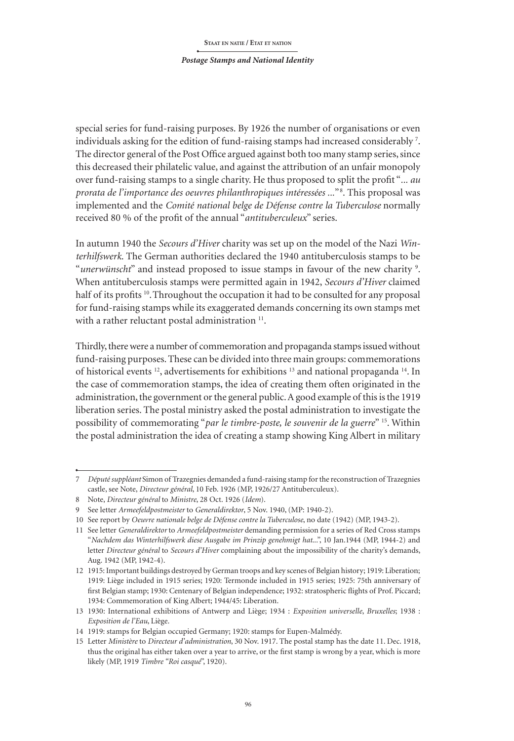#### *Postage Stamps and National Identity*

special series for fund-raising purposes. By 1926 the number of organisations or even individuals asking for the edition of fund-raising stamps had increased considerably  $^7\!$ . The director general of the Post Office argued against both too many stamp series, since this decreased their philatelic value, and against the attribution of an unfair monopoly over fund-raising stamps to a single charity. He thus proposed to split the profit "*... au prorata de l'importance des oeuvres philanthropiques intéressées ...*" <sup>8</sup> . This proposal was implemented and the *Comité national belge de Défense contre la Tuberculose* normally received 80 % of the profit of the annual "*antituberculeux*" series.

In autumn 1940 the *Secours d'Hiver* charity was set up on the model of the Nazi *Winterhilfswerk*. The German authorities declared the 1940 antituberculosis stamps to be "*unerwünscht*" and instead proposed to issue stamps in favour of the new charity <sup>9</sup> . When antituberculosis stamps were permitted again in 1942, *Secours d'Hiver* claimed half of its profits <sup>10</sup>. Throughout the occupation it had to be consulted for any proposal for fund-raising stamps while its exaggerated demands concerning its own stamps met with a rather reluctant postal administration<sup>11</sup>.

Thirdly, there were a number of commemoration and propaganda stamps issued without fund-raising purposes. These can be divided into three main groups: commemorations of historical events 12, advertisements for exhibitions 13 and national propaganda 14. In the case of commemoration stamps, the idea of creating them often originated in the administration, the government or the general public. A good example of this is the 1919 liberation series. The postal ministry asked the postal administration to investigate the possibility of commemorating "*par le timbre-poste, le souvenir de la guerre*" 15. Within the postal administration the idea of creating a stamp showing King Albert in military

<sup>7</sup> *Député suppléant* Simon of Trazegnies demanded a fund-raising stamp for the reconstruction of Trazegnies castle, see Note, *Directeur général*, 10 Feb. 1926 (MP, 1926/27 Antituberculeux).

<sup>8</sup> Note, *Directeur général* to *Ministre*, 28 Oct. 1926 (*Idem*).

<sup>9</sup> See letter *Armeefeldpostmeister* to *Generaldirektor*, 5 Nov. 1940, (MP: 1940-2).

<sup>10</sup> See report by *Oeuvre nationale belge de Défense contre la Tuberculose*, no date (1942) (MP, 1943-2).

<sup>11</sup> See letter *Generaldirektor* to *Armeefeldpostmeister* demanding permission for a series of Red Cross stamps "*Nachdem das Winterhilfswerk diese Ausgabe im Prinzip genehmigt hat*...", 10 Jan.1944 (MP, 1944-2) and letter *Directeur général* to *Secours d'Hiver* complaining about the impossibility of the charity's demands, Aug. 1942 (MP, 1942-4).

<sup>12</sup> 1915: Important buildings destroyed by German troops and key scenes of Belgian history; 1919: Liberation; 1919: Liège included in 1915 series; 1920: Termonde included in 1915 series; 1925: 75th anniversary of first Belgian stamp; 1930: Centenary of Belgian independence; 1932: stratospheric flights of Prof. Piccard; 1934: Commemoration of King Albert; 1944/45: Liberation.

<sup>13</sup> 1930: International exhibitions of Antwerp and Liège; 1934 : *Exposition universelle*, *Bruxelles*; 1938 : *Exposition de l'Eau*, Liège.

<sup>14</sup> 1919: stamps for Belgian occupied Germany; 1920: stamps for Eupen-Malmédy.

<sup>15</sup> Letter *Ministère* to *Directeur d'administration*, 30 Nov. 1917. The postal stamp has the date 11. Dec. 1918, thus the original has either taken over a year to arrive, or the first stamp is wrong by a year, which is more likely (MP, 1919 *Timbre "Roi casqué*", 1920).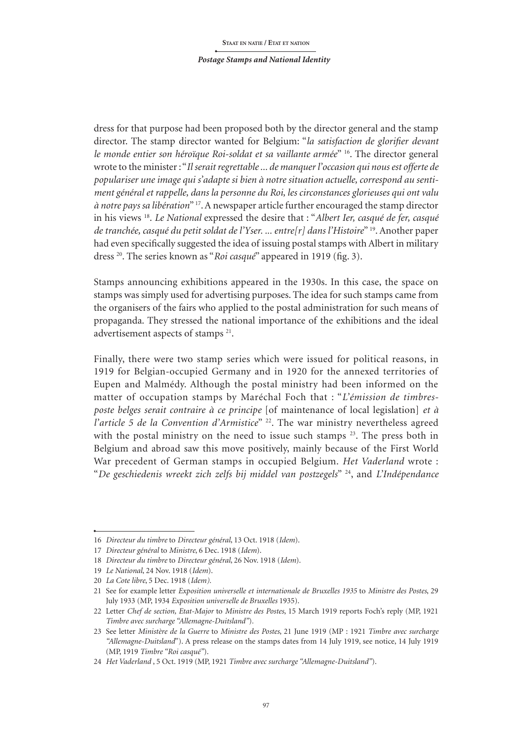dress for that purpose had been proposed both by the director general and the stamp director. The stamp director wanted for Belgium: "*la satisfaction de glorifier devant le monde entier son héroïque Roi-soldat et sa vaillante armée*" 16. The director general wrote to the minister: "*Il serait regrettable ... de manquer l'occasion qui nous est offerte de populariser une image qui s'adapte si bien à notre situation actuelle, correspond au sentiment général et rappelle, dans la personne du Roi, les circonstances glorieuses qui ont valu à notre pays sa libération*" 17. A newspaper article further encouraged the stamp director in his views 18. *Le National* expressed the desire that : "*Albert Ier, casqué de fer, casqué de tranchée, casqué du petit soldat de l'Yser. ... entre[r] dans l'Histoire*" 19. Another paper had even specifically suggested the idea of issuing postal stamps with Albert in military dress 20. The series known as "*Roi casqué*" appeared in 1919 (fig. 3).

Stamps announcing exhibitions appeared in the 1930s. In this case, the space on stamps was simply used for advertising purposes. The idea for such stamps came from the organisers of the fairs who applied to the postal administration for such means of propaganda. They stressed the national importance of the exhibitions and the ideal advertisement aspects of stamps 21.

Finally, there were two stamp series which were issued for political reasons, in 1919 for Belgian-occupied Germany and in 1920 for the annexed territories of Eupen and Malmédy. Although the postal ministry had been informed on the matter of occupation stamps by Maréchal Foch that : "*L'émission de timbresposte belges serait contraire à ce principe* [of maintenance of local legislation] *et à l'article 5 de la Convention d'Armistice*" 22. The war ministry nevertheless agreed with the postal ministry on the need to issue such stamps  $23$ . The press both in Belgium and abroad saw this move positively, mainly because of the First World War precedent of German stamps in occupied Belgium. *Het Vaderland* wrote : "*De geschiedenis wreekt zich zelfs bij middel van postzegels*" 24, and *L'Indépendance* 

<sup>16</sup> *Directeur du timbre* to *Directeur général*, 13 Oct. 1918 (*Idem*).

<sup>17</sup> *Directeur général* to *Ministre*, 6 Dec. 1918 (*Idem*).

<sup>18</sup> *Directeur du timbre* to *Directeur général*, 26 Nov. 1918 (*Idem*).

<sup>19</sup> *Le National*, 24 Nov. 1918 (*Idem*).

<sup>20</sup> *La Cote libre*, 5 Dec. 1918 (*Idem).*

<sup>21</sup> See for example letter *Exposition universelle et internationale de Bruxelles 1935* to *Ministre des Postes*, 29 July 1933 (MP, 1934 *Exposition universelle de Bruxelles* 1935).

<sup>22</sup> Letter *Chef de section, Etat-Major* to *Ministre des Postes*, 15 March 1919 reports Foch's reply (MP, 1921 *Timbre avec surcharge "Allemagne-Duitsland"*)*.*

<sup>23</sup> See letter *Ministère de la Guerre* to *Ministre des Postes*, 21 June 1919 (MP : 1921 *Timbre avec surcharge "Allemagne-Duitsland*"). A press release on the stamps dates from 14 July 1919, see notice, 14 July 1919 (MP, 1919 *Timbre "Roi casqué"*).

<sup>24</sup> *Het Vaderland* , 5 Oct. 1919 (MP, 1921 *Timbre avec surcharge "Allemagne-Duitsland"*).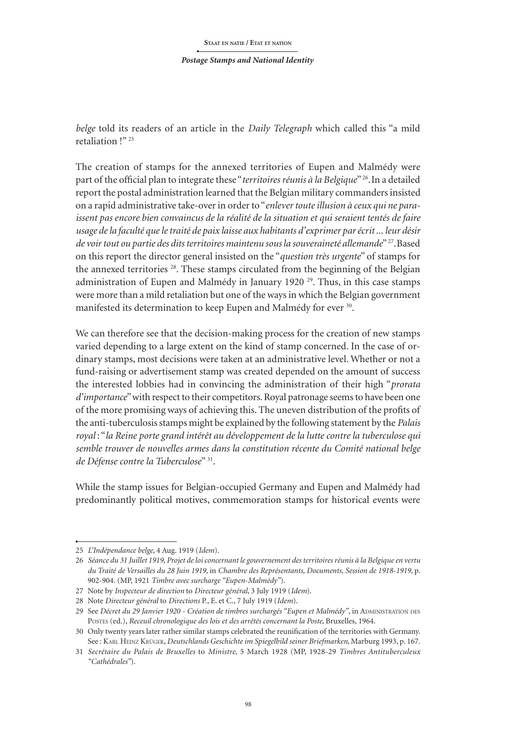*belge* told its readers of an article in the *Daily Telegraph* which called this "a mild retaliation !"<sup>25</sup>

The creation of stamps for the annexed territories of Eupen and Malmédy were part of the official plan to integrate these "*territoires réunis à la Belgique*" 26.In a detailed report the postal administration learned that the Belgian military commanders insisted on a rapid administrative take-over in order to "*enlever toute illusion à ceux qui ne paraissent pas encore bien convaincus de la réalité de la situation et qui seraient tentés de faire usage de la faculté que le traité de paix laisse aux habitants d'exprimer par écrit ... leur désir de voir tout ou partie des dits territoires maintenu sous la souveraineté allemande*" 27.Based on this report the director general insisted on the "*question très urgente*" of stamps for the annexed territories 28. These stamps circulated from the beginning of the Belgian administration of Eupen and Malmédy in January 1920<sup>29</sup>. Thus, in this case stamps were more than a mild retaliation but one of the ways in which the Belgian government manifested its determination to keep Eupen and Malmédy for ever <sup>30</sup>.

We can therefore see that the decision-making process for the creation of new stamps varied depending to a large extent on the kind of stamp concerned. In the case of ordinary stamps, most decisions were taken at an administrative level. Whether or not a fund-raising or advertisement stamp was created depended on the amount of success the interested lobbies had in convincing the administration of their high "*prorata d'importance*" with respect to their competitors. Royal patronage seems to have been one of the more promising ways of achieving this. The uneven distribution of the profits of the anti-tuberculosis stamps might be explained by the following statement by the *Palais royal* : "*la Reine porte grand intérêt au développement de la lutte contre la tuberculose qui semble trouver de nouvelles armes dans la constitution récente du Comité national belge de Défense contre la Tuberculose*" 31.

While the stamp issues for Belgian-occupied Germany and Eupen and Malmédy had predominantly political motives, commemoration stamps for historical events were

<sup>25</sup> *L'Indépendance belge*, 4 Aug. 1919 (*Idem*).

<sup>26</sup> *Séance du 31 Juillet 1919, Projet de loi concernant le gouvernement des territoires réunis à la Belgique en vertu du Traité de Versailles du 28 Juin 1919*, in *Chambre des Représentants, Documents, Session de 1918-1919*, p. 902-904. (MP, 1921 *Timbre avec surcharge "Eupen-Malmédy"*).

<sup>27</sup> Note by *Inspecteur de direction* to *Directeur général*, 3 July 1919 (*Idem*).

<sup>28</sup> Note *Directeur général* to *Directions* P., E. et C., 7 July 1919 (*Idem*).

<sup>29</sup> See *Décret du 29 Janvier 1920 - Création de timbres surchargés "Eupen et Malmédy"*, in ADMINISTRATION DES Postes (ed.), *Receuil chronologique des lois et des arrêtés concernant la Poste*, Bruxelles, 1964.

<sup>30</sup> Only twenty years later rather similar stamps celebrated the reunification of the territories with Germany. See : Karl Heinz Krüger, *Deutschlands Geschichte im Spiegelbild seiner Briefmarken*, Marburg 1993, p. 167.

<sup>31</sup> *Secrétaire du Palais de Bruxelles* to *Ministre*, 5 March 1928 (MP, 1928-29 *Timbres Antituberculeux "Cathédrales"*).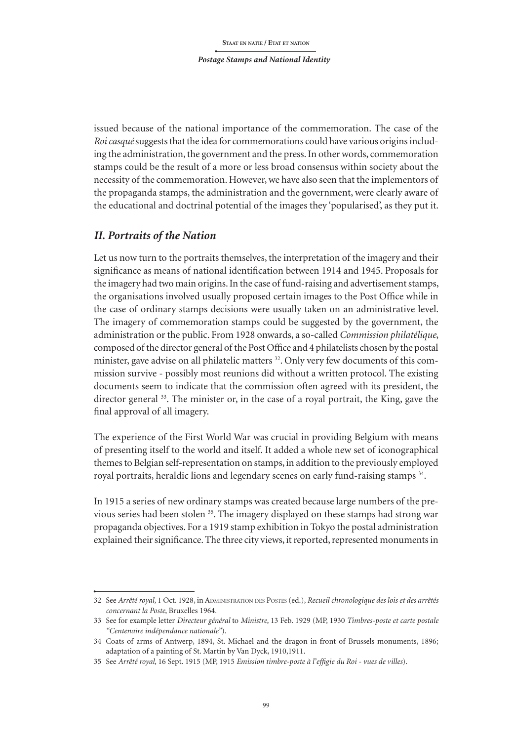issued because of the national importance of the commemoration. The case of the *Roicasqué* suggests that the idea for commemorations could have various origins including the administration, the government and the press. In other words, commemoration stamps could be the result of a more or less broad consensus within society about the necessity of the commemoration. However, we have also seen that the implementors of the propaganda stamps, the administration and the government, were clearly aware of the educational and doctrinal potential of the images they 'popularised', as they put it.

## *II. Portraits of the Nation*

Let us now turn to the portraits themselves, the interpretation of the imagery and their significance as means of national identification between 1914 and 1945. Proposals for the imagery had two main origins. In the case of fund-raising and advertisement stamps, the organisations involved usually proposed certain images to the Post Office while in the case of ordinary stamps decisions were usually taken on an administrative level. The imagery of commemoration stamps could be suggested by the government, the administration or the public. From 1928 onwards, a so-called *Commission philatélique*, composed of the director general of the Post Office and 4 philatelists chosen by the postal minister, gave advise on all philatelic matters <sup>32</sup>. Only very few documents of this commission survive - possibly most reunions did without a written protocol. The existing documents seem to indicate that the commission often agreed with its president, the director general <sup>33</sup>. The minister or, in the case of a royal portrait, the King, gave the final approval of all imagery.

The experience of the First World War was crucial in providing Belgium with means of presenting itself to the world and itself. It added a whole new set of iconographical themes to Belgian self-representation on stamps, in addition to the previously employed royal portraits, heraldic lions and legendary scenes on early fund-raising stamps 34.

In 1915 a series of new ordinary stamps was created because large numbers of the previous series had been stolen 35. The imagery displayed on these stamps had strong war propaganda objectives. For a 1919 stamp exhibition in Tokyo the postal administration explained their significance. The three city views, it reported, represented monuments in

<sup>32</sup> See *Arrêté royal*, 1 Oct. 1928, in Administration des Postes (ed.), *Recueil chronologique des lois et des arrêtés concernant la Poste*, Bruxelles 1964.

<sup>33</sup> See for example letter *Directeur général* to *Ministre*, 13 Feb. 1929 (MP, 1930 *Timbres-poste et carte postale "Centenaire indépendance nationale"*).

<sup>34</sup> Coats of arms of Antwerp, 1894, St. Michael and the dragon in front of Brussels monuments, 1896; adaptation of a painting of St. Martin by Van Dyck, 1910,1911.

<sup>35</sup> See *Arrêté royal*, 16 Sept. 1915 (MP, 1915 *Emission timbre-poste à l'effigie du Roi - vues de villes*).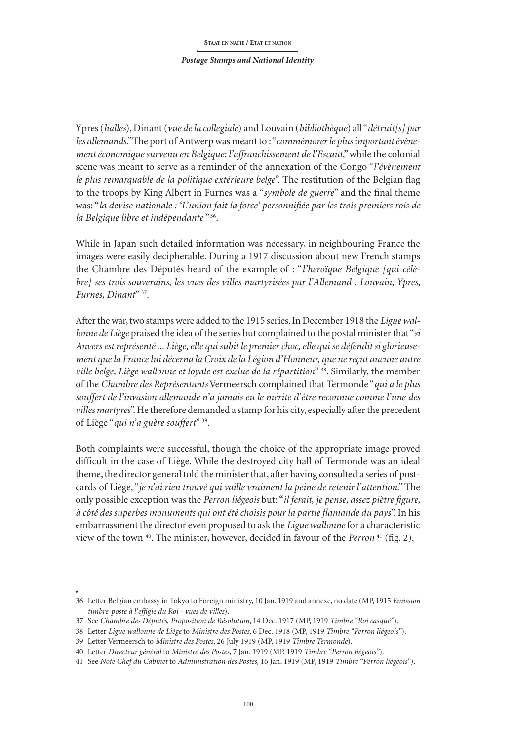Ypres (*halles*), Dinant (*vue de la collegiale*) and Louvain (*bibliothèque*) all "*détruit[s] par*  les allemands." The port of Antwerp was meant to : "*commémorer le plus important évènement économique survenu en Belgique: l'affranchissement de l'Escaut*," while the colonial scene was meant to serve as a reminder of the annexation of the Congo "*l'évènement le plus remarquable de la politique extérieure belge*". The restitution of the Belgian flag to the troops by King Albert in Furnes was a "*symbole de guerre*" and the final theme was: "*la devise nationale : 'L'union fait la force' personnifiée par les trois premiers rois de la Belgique libre et indépendante* " 36.

While in Japan such detailed information was necessary, in neighbouring France the images were easily decipherable. During a 1917 discussion about new French stamps the Chambre des Députés heard of the example of : "*l'héroïque Belgique [qui célèbre] ses trois souverains, les vues des villes martyrisées par l'Allemand : Louvain, Ypres, Furnes, Dinant*" 37.

After the war, two stamps were added to the 1915 series. In December 1918 the *Ligue wallonne de Liège* praised the idea of the series but complained to the postal minister that "*si Anvers est représenté ... Liège, elle qui subit le premier choc, elle qui se défendit si glorieusement que la France lui décerna la Croix de la Légion d'Honneur, que ne reçut aucune autre ville belge, Liège wallonne et loyale est exclue de la répartition*" 38. Similarly, the member of the *Chambre des Représentants* Vermeersch complained that Termonde "*qui a le plus souffert de l'invasion allemande n'a jamais eu le mérite d'être reconnue comme l'une des villes martyres*". He therefore demanded a stamp for his city, especially after the precedent of Liège "*qui n'a guère souffert*" 39.

Both complaints were successful, though the choice of the appropriate image proved difficult in the case of Liège. While the destroyed city hall of Termonde was an ideal theme, the director general told the minister that, after having consulted a series of postcards of Liège, "*je n'ai rien trouvé qui vaille vraiment la peine de retenir l'attention*." The only possible exception was the *Perron liégeois* but: "*il ferait, je pense, assez piètre figure, à côté des superbes monuments qui ont été choisis pour la partie flamande du pays*". In his embarrassment the director even proposed to ask the *Ligue wallonne* for a characteristic view of the town 40. The minister, however, decided in favour of the *Perron* 41 (fig. 2).

<sup>36</sup> Letter Belgian embassy in Tokyo to Foreign ministry, 10 Jan. 1919 and annexe, no date (MP, 1915 *Emission timbre-poste à l'effigie du Roi - vues de villes*).

<sup>37</sup> See *Chambre des Députés, Proposition de Résolution*, 14 Dec. 1917 (MP, 1919 *Timbre "Roi casqué"*).

<sup>38</sup> Letter *Ligue wallonne de Liège* to *Ministre des Postes*, 6 Dec. 1918 (MP, 1919 *Timbre "Perron liégeois"*).

<sup>39</sup> Letter Vermeersch to *Ministre des Postes*, 26 July 1919 (MP, 1919 *Timbre Termonde*).

<sup>40</sup> Letter *Directeur général* to *Ministre des Postes*, 7 Jan. 1919 (MP, 1919 *Timbre "Perron liégeois"*).

<sup>41</sup> See *Note Chef du Cabinet* to *Administration des Postes*, 16 Jan. 1919 (MP, 1919 *Timbre "Perron liégeois"*).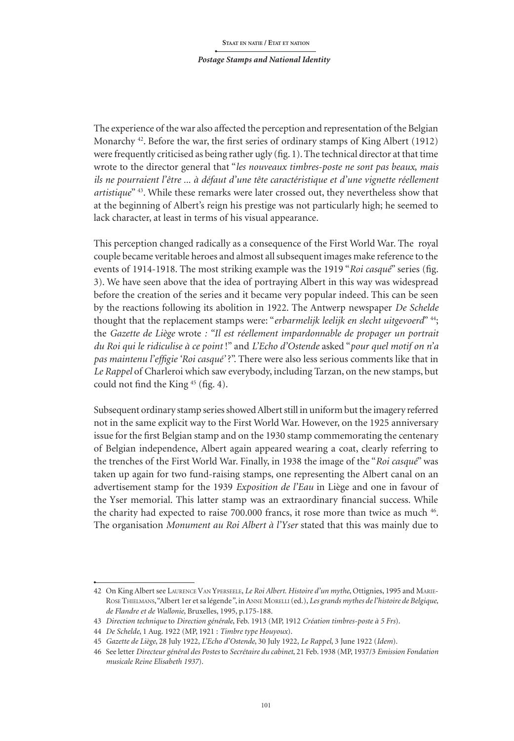*Postage Stamps and National Identity*

The experience of the war also affected the perception and representation of the Belgian Monarchy 42. Before the war, the first series of ordinary stamps of King Albert (1912) were frequently criticised as being rather ugly (fig. 1). The technical director at that time wrote to the director general that "*les nouveaux timbres-poste ne sont pas beaux, mais ils ne pourraient l'être ... à défaut d'une tête caractéristique et d'une vignette réellement artistique*" 43. While these remarks were later crossed out, they nevertheless show that at the beginning of Albert's reign his prestige was not particularly high; he seemed to lack character, at least in terms of his visual appearance.

This perception changed radically as a consequence of the First World War. The royal couple became veritable heroes and almost all subsequent images make reference to the events of 1914-1918. The most striking example was the 1919 "*Roi casqué*" series (fig. 3). We have seen above that the idea of portraying Albert in this way was widespread before the creation of the series and it became very popular indeed. This can be seen by the reactions following its abolition in 1922. The Antwerp newspaper *De Schelde* thought that the replacement stamps were: "*erbarmelijk leelijk en slecht uitgevoerd*" 44; the *Gazette de Liège* wrote *: "Il est réellement impardonnable de propager un portrait du Roi qui le ridiculise à ce point* !" and *L'Echo d'Ostende* asked "*pour quel motif on n'a pas maintenu l'effigie 'Roi casqué'* ?". There were also less serious comments like that in *Le Rappel* of Charleroi which saw everybody, including Tarzan, on the new stamps, but could not find the King <sup>45</sup> (fig. 4).

Subsequent ordinary stamp series showed Albert still in uniform but the imagery referred not in the same explicit way to the First World War. However, on the 1925 anniversary issue for the first Belgian stamp and on the 1930 stamp commemorating the centenary of Belgian independence, Albert again appeared wearing a coat, clearly referring to the trenches of the First World War. Finally, in 1938 the image of the "*Roi casqué*" was taken up again for two fund-raising stamps, one representing the Albert canal on an advertisement stamp for the 1939 *Exposition de l'Eau* in Liège and one in favour of the Yser memorial. This latter stamp was an extraordinary financial success. While the charity had expected to raise 700.000 francs, it rose more than twice as much 46. The organisation *Monument au Roi Albert à l'Yser* stated that this was mainly due to

<sup>42</sup> On King Albert see LaurenceVan Yperseele, *Le Roi Albert. Histoire d'un mythe*, Ottignies, 1995 and Marie-Rose Thielmans, "Albert 1er et sa légende*"*, in Anne Morelli (ed.), *Les grands mythes de l'histoire de Belgique, de Flandre et de Wallonie*, Bruxelles, 1995, p.175-188.

<sup>43</sup> *Direction technique* to *Direction générale*, Feb. 1913 (MP, 1912 *Création timbres-poste à 5 Frs*).

<sup>44</sup> *De Schelde*, 1 Aug. 1922 (MP, 1921 : *Timbre type Houyoux*).

<sup>45</sup> *Gazette de Liège*, 28 July 1922, *L'Echo d'Ostende*, 30 July 1922, *Le Rappel*, 3 June 1922 (*Idem*).

<sup>46</sup> See letter *Directeur général des Postes* to *Secrétaire du cabinet*, 21 Feb. 1938 (MP, 1937/3 *Emission Fondation musicale Reine Elisabeth 1937*).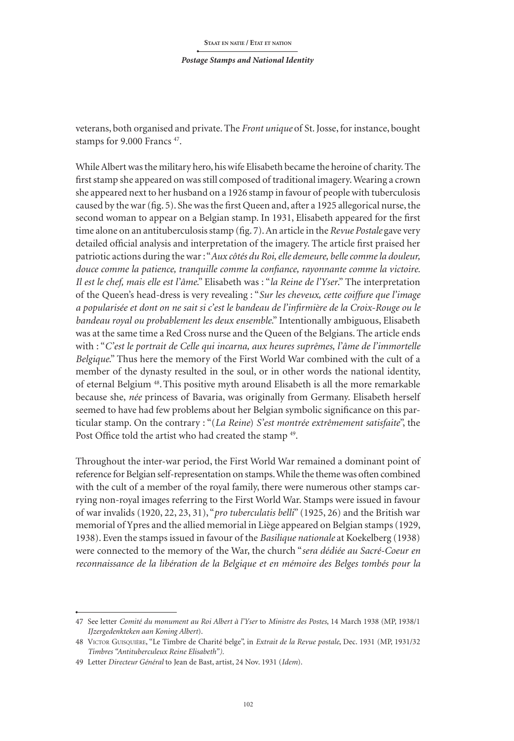veterans, both organised and private.The *Front unique* of St. Josse, for instance, bought stamps for 9.000 Francs 47.

While Albert was the military hero, his wife Elisabeth became the heroine of charity. The first stamp she appeared on was still composed of traditional imagery. Wearing a crown she appeared next to her husband on a 1926 stamp in favour of people with tuberculosis caused by the war (fig. 5). She was the first Queen and, after a 1925 allegorical nurse, the second woman to appear on a Belgian stamp. In 1931, Elisabeth appeared for the first time alone on an antituberculosis stamp (fig. 7). An article in the *Revue Postale* gave very detailed official analysis and interpretation of the imagery. The article first praised her patriotic actions during the war : "*Aux côtés du Roi, elle demeure, belle comme la douleur, douce comme la patience, tranquille comme la confiance, rayonnante comme la victoire. Il est le chef, mais elle est l'âme*." Elisabeth was : "*la Reine de l'Yser*." The interpretation of the Queen's head-dress is very revealing : "*Sur les cheveux, cette coiffure que l'image a popularisée et dont on ne sait si c'est le bandeau de l'infirmière de la Croix-Rouge ou le bandeau royal ou probablement les deux ensemble*." Intentionally ambiguous, Elisabeth was at the same time a Red Cross nurse and the Queen of the Belgians. The article ends with : "*C'est le portrait de Celle qui incarna, aux heures suprêmes, l'âme de l'immortelle Belgique*." Thus here the memory of the First World War combined with the cult of a member of the dynasty resulted in the soul, or in other words the national identity, of eternal Belgium 48.This positive myth around Elisabeth is all the more remarkable because she, *née* princess of Bavaria, was originally from Germany. Elisabeth herself seemed to have had few problems about her Belgian symbolic significance on this particular stamp. On the contrary : "(*La Reine*) *S'est montrée extrêmement satisfaite*", the Post Office told the artist who had created the stamp <sup>49</sup>.

Throughout the inter-war period, the First World War remained a dominant point of reference for Belgian self-representation on stamps. While the theme was often combined with the cult of a member of the royal family, there were numerous other stamps carrying non-royal images referring to the First World War. Stamps were issued in favour of war invalids (1920, 22, 23, 31), "*pro tuberculatis belli*" (1925, 26) and the British war memorial of Ypres and the allied memorial in Liège appeared on Belgian stamps (1929, 1938). Even the stamps issued in favour of the *Basilique nationale* at Koekelberg (1938) were connected to the memory of the War, the church "*sera dédiée au Sacré-Coeur en reconnaissance de la libération de la Belgique et en mémoire des Belges tombés pour la* 

<sup>47</sup> See letter *Comité du monument au Roi Albert à l'Yser* to *Ministre des Postes*, 14 March 1938 (MP, 1938/1 *IJzergedenkteken aan Koning Albert*).

<sup>48</sup> Victor Guisquière, "Le Timbre de Charité belge", in *Extrait de la Revue postale*, Dec. 1931 (MP, 1931/32 *Timbres "Antituberculeux Reine Elisabeth").*

<sup>49</sup> Letter *Directeur Général* to Jean de Bast, artist, 24 Nov. 1931 (*Idem*).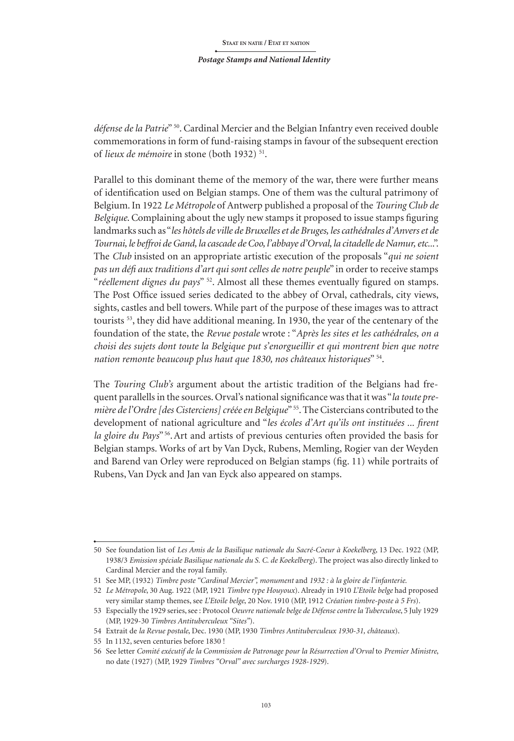*défense de la Patrie*" 50. Cardinal Mercier and the Belgian Infantry even received double commemorations in form of fund-raising stamps in favour of the subsequent erection of *lieux de mémoire* in stone (both 1932) 51.

Parallel to this dominant theme of the memory of the war, there were further means of identification used on Belgian stamps. One of them was the cultural patrimony of Belgium. In 1922 *Le Métropole* of Antwerp published a proposal of the *Touring Club de Belgique*. Complaining about the ugly new stamps it proposed to issue stamps figuring landmarks such as "*les hôtels de ville de Bruxelles et de Bruges, les cathédrales d'Anvers et de Tournai, le beffroi de Gand, la cascade de Coo, l'abbaye d'Orval, la citadelle de Namur,etc..*.". The *Club* insisted on an appropriate artistic execution of the proposals "*qui ne soient pas un défi aux traditions d'art qui sont celles de notre peuple*" in order to receive stamps "*réellement dignes du pays*" 52. Almost all these themes eventually figured on stamps. The Post Office issued series dedicated to the abbey of Orval, cathedrals, city views, sights, castles and bell towers. While part of the purpose of these images was to attract tourists 53, they did have additional meaning. In 1930, the year of the centenary of the foundation of the state, the *Revue postale* wrote : "*Après les sites et les cathédrales, on a choisi des sujets dont toute la Belgique put s'enorgueillir et qui montrent bien que notre nation remonte beaucoup plus haut que 1830, nos châteaux historiques*" 54.

The *Touring Club's* argument about the artistic tradition of the Belgians had frequent parallells in the sources. Orval's national significance was that it was "*la toute première de l'Ordre [des Cisterciens] créée en Belgique*" 55. The Cistercians contributed to the development of national agriculture and "*les écoles d'Art qu'ils ont instituées ... firent la gloire du Pays*" 56.Art and artists of previous centuries often provided the basis for Belgian stamps. Works of art by Van Dyck, Rubens, Memling, Rogier van der Weyden and Barend van Orley were reproduced on Belgian stamps (fig. 11) while portraits of Rubens, Van Dyck and Jan van Eyck also appeared on stamps.

<sup>50</sup> See foundation list of *Les Amis de la Basilique nationale du Sacré-Coeur à Koekelberg*, 13 Dec. 1922 (MP, 1938/3 *Emission spéciale Basilique nationale du S. C. de Koekelberg*). The project was also directly linked to Cardinal Mercier and the royal family.

<sup>51</sup> See MP, (1932) *Timbre poste "Cardinal Mercier", monument* and *1932 : à la gloire de l'infanterie.*

<sup>52</sup> *Le Métropole*, 30 Aug. 1922 (MP, 1921 *Timbre type Houyoux*). Already in 1910 *L'Etoile belge* had proposed very similar stamp themes, see *L'Etoile belge*, 20 Nov. 1910 (MP, 1912 *Création timbre-poste à 5 Frs*)*.*

<sup>53</sup> Especially the 1929 series, see : Protocol *Oeuvre nationale belge de Défense contre la Tuberculose*, 5 July 1929 (MP, 1929-30 *Timbres Antituberculeux "Sites"*).

<sup>54</sup> Extrait de *la Revue postale*, Dec. 1930 (MP, 1930 *Timbres Antituberculeux 1930-31, châteaux*).

<sup>55</sup> In 1132, seven centuries before 1830 !

<sup>56</sup> See letter *Comité exécutif de la Commission de Patronage pour la Résurrection d'Orval* to *Premier Ministre*, no date (1927) (MP, 1929 *Timbres "Orval" avec surcharges 1928-1929*).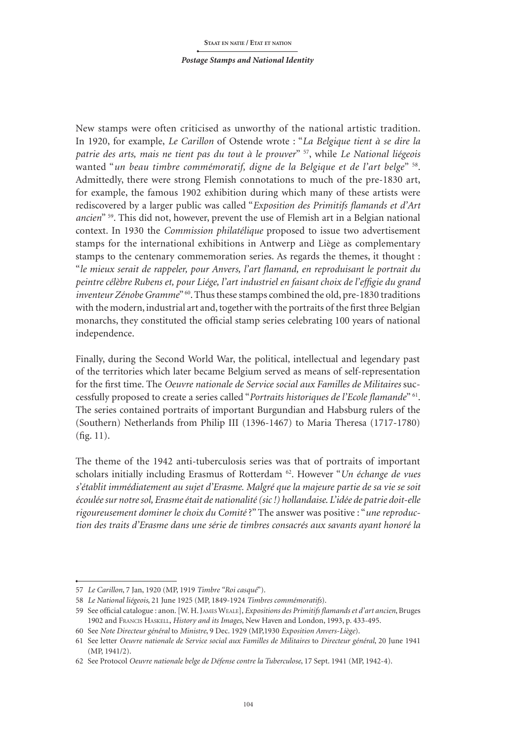New stamps were often criticised as unworthy of the national artistic tradition. In 1920, for example, *Le Carillon* of Ostende wrote : "*La Belgique tient à se dire la patrie des arts, mais ne tient pas du tout à le prouver*" 57, while *Le National liégeois* wanted "*un beau timbre commémoratif, digne de la Belgique et de l'art belge*" 58. Admittedly, there were strong Flemish connotations to much of the pre-1830 art, for example, the famous 1902 exhibition during which many of these artists were rediscovered by a larger public was called "*Exposition des Primitifs flamands et d'Art ancien*" 59. This did not, however, prevent the use of Flemish art in a Belgian national context. In 1930 the *Commission philatélique* proposed to issue two advertisement stamps for the international exhibitions in Antwerp and Liège as complementary stamps to the centenary commemoration series. As regards the themes, it thought : "*le mieux serait de rappeler, pour Anvers, l'art flamand, en reproduisant le portrait du peintre célèbre Rubens et, pour Liége, l'art industriel en faisant choix de l'effigie du grand inventeur Zénobe Gramme*"<sup>60</sup>. Thus these stamps combined the old, pre-1830 traditions with the modern, industrial art and, together with the portraits of the first three Belgian monarchs, they constituted the official stamp series celebrating 100 years of national independence.

Finally, during the Second World War, the political, intellectual and legendary past of the territories which later became Belgium served as means of self-representation for the first time. The *Oeuvre nationale de Service social aux Familles de Militaires* successfully proposed to create a series called "*Portraits historiques de l'Ecole flamande*" 61. The series contained portraits of important Burgundian and Habsburg rulers of the (Southern) Netherlands from Philip III (1396-1467) to Maria Theresa (1717-1780) (fig. 11).

The theme of the 1942 anti-tuberculosis series was that of portraits of important scholars initially including Erasmus of Rotterdam 62. However "*Un échange de vues s'établit immédiatement au sujet d'Erasme. Malgré que la majeure partie de sa vie se soit écoulée sur notre sol, Erasme était de nationalité (sic !) hollandaise*. *L'idée de patrie doit-elle rigoureusement dominer le choix du Comité* ?" The answer was positive : "*une reproduction des traits d'Erasme dans une série de timbres consacrés aux savants ayant honoré la* 

<sup>57</sup> *Le Carillon*, 7 Jan, 1920 (MP, 1919 *Timbre "Roi casqué*").

<sup>58</sup> *Le National liégeois*, 21 June 1925 (MP, 1849-1924 *Timbres commémoratifs*).

<sup>59</sup> See official catalogue : anon. [W. H. James Weale], *Expositions des Primitifs flamands et d'art ancien*, Bruges 1902 and Francis Haskell, *History and its Images*, New Haven and London, 1993, p. 433-495.

<sup>60</sup> See *Note Directeur général* to *Ministre*, 9 Dec. 1929 (MP,1930 *Exposition Anvers-Liège*).

<sup>61</sup> See letter *Oeuvre nationale de Service social aux Familles de Militaires* to *Directeur général*, 20 June 1941 (MP, 1941/2).

<sup>62</sup> See Protocol *Oeuvre nationale belge de Défense contre la Tuberculose*, 17 Sept. 1941 (MP, 1942-4).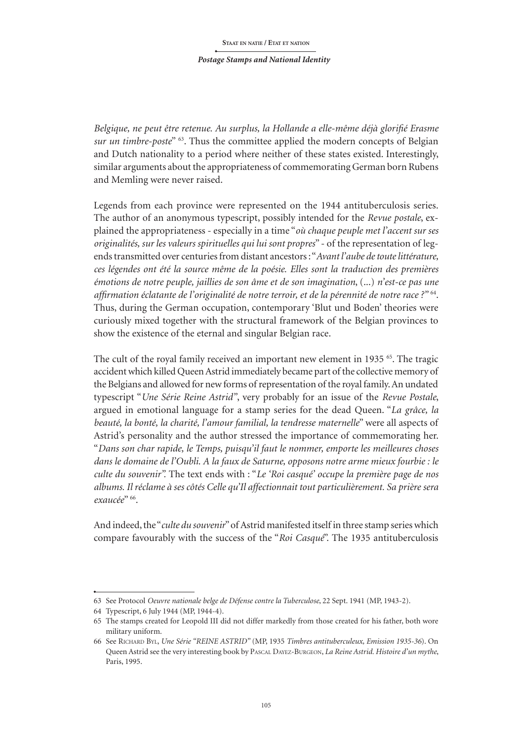*Belgique, ne peut être retenue. Au surplus, la Hollande a elle-même déjà glorifié Erasme sur un timbre-poste*" 63. Thus the committee applied the modern concepts of Belgian and Dutch nationality to a period where neither of these states existed. Interestingly, similar arguments about the appropriateness of commemorating German born Rubens and Memling were never raised.

Legends from each province were represented on the 1944 antituberculosis series. The author of an anonymous typescript, possibly intended for the *Revue postale*, explained the appropriateness - especially in a time "*où chaque peuple met l'accent sur ses originalités, sur les valeurs spirituelles qui lui sont propres*" - of the representation of legends transmitted over centuries from distant ancestors: "*Avant l'aube detoute littérature, ces légendes ont été la source même de la poésie. Elles sont la traduction des premières émotions de notre peuple, jaillies de son âme et de son imagination*, (...) *n'est-ce pas une affirmation éclatante de l'originalité de notre terroir, et de la pérennité de notre race ?"* 64. Thus, during the German occupation, contemporary 'Blut und Boden' theories were curiously mixed together with the structural framework of the Belgian provinces to show the existence of the eternal and singular Belgian race.

The cult of the royal family received an important new element in 1935 <sup>65</sup>. The tragic accident which killed Queen Astrid immediately became part of the collective memory of the Belgians and allowed for new forms of representation of the royal family. An undated typescript "*Une Série Reine Astrid"*, very probably for an issue of the *Revue Postale*, argued in emotional language for a stamp series for the dead Queen. "*La grâce, la beauté, la bonté, la charité, l'amour familial, la tendresse maternelle*" were all aspects of Astrid's personality and the author stressed the importance of commemorating her. "*Dans son char rapide, le Temps, puisqu'il faut le nommer, emporte les meilleures choses dans le domaine de l'Oubli. A la faux de Saturne, opposons notre arme mieux fourbie : le culte du souvenir".* The text ends with : "*Le 'Roi casqué' occupe la première page de nos albums. Il réclame à ses côtés Celle qu'Il affectionnait tout particulièrement. Sa prière sera exaucée*" 66.

And indeed, the "*culte du souvenir*" of Astrid manifested itself in three stamp series which compare favourably with the success of the "*Roi Casqué*". The 1935 antituberculosis

<sup>63</sup> See Protocol *Oeuvre nationale belge de Défense contre la Tuberculose*, 22 Sept. 1941 (MP, 1943-2).

<sup>64</sup> Typescript, 6 July 1944 (MP, 1944-4).

<sup>65</sup> The stamps created for Leopold III did not differ markedly from those created for his father, both wore military uniform.

<sup>66</sup> See Richard Byl, *Une Série "REINE ASTRID"* (MP, 1935 *Timbres antituberculeux, Emission 1935-36*). On Queen Astrid see the very interesting book by Pascal Dayez-Burgeon, *La Reine Astrid. Histoire d'un mythe*, Paris, 1995.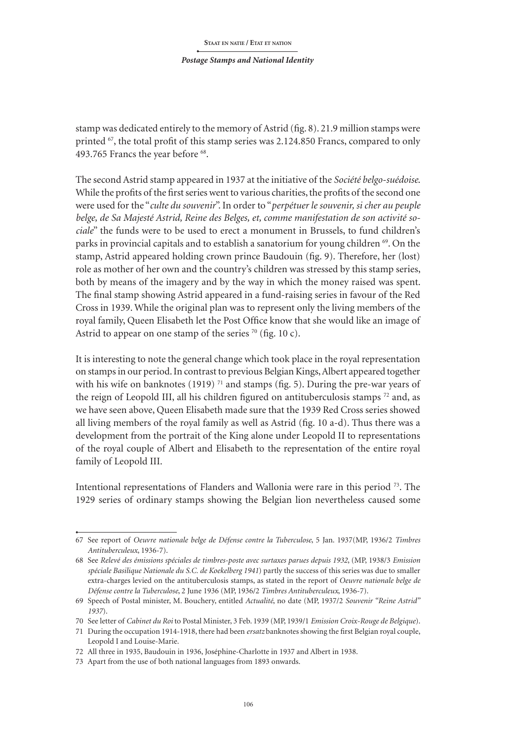stamp was dedicated entirely to the memory of Astrid (fig. 8). 21.9 million stamps were printed  $^{67}$ , the total profit of this stamp series was 2.124.850 Francs, compared to only 493.765 Francs the year before <sup>68</sup>.

The second Astrid stamp appeared in 1937 at the initiative of the *Société belgo-suédoise*. While the profits of the first series went to various charities, the profits of the second one were used for the "*culte du souvenir*". In order to "*perpétuer le souvenir, si cher au peuple belge, de Sa Majesté Astrid, Reine des Belges, et, comme manifestation de son activité sociale*" the funds were to be used to erect a monument in Brussels, to fund children's parks in provincial capitals and to establish a sanatorium for young children 69. On the stamp, Astrid appeared holding crown prince Baudouin (fig. 9). Therefore, her (lost) role as mother of her own and the country's children was stressed by this stamp series, both by means of the imagery and by the way in which the money raised was spent. The final stamp showing Astrid appeared in a fund-raising series in favour of the Red Cross in 1939. While the original plan was to represent only the living members of the royal family, Queen Elisabeth let the Post Office know that she would like an image of Astrid to appear on one stamp of the series  $70$  (fig. 10 c).

It is interesting to note the general change which took place in the royal representation on stamps in our period. In contrast to previous Belgian Kings, Albert appeared together with his wife on banknotes (1919)<sup>71</sup> and stamps (fig. 5). During the pre-war years of the reign of Leopold III, all his children figured on antituberculosis stamps  $^{72}$  and, as we have seen above, Queen Elisabeth made sure that the 1939 Red Cross series showed all living members of the royal family as well as Astrid (fig. 10 a-d). Thus there was a development from the portrait of the King alone under Leopold II to representations of the royal couple of Albert and Elisabeth to the representation of the entire royal family of Leopold III.

Intentional representations of Flanders and Wallonia were rare in this period 73. The 1929 series of ordinary stamps showing the Belgian lion nevertheless caused some

<sup>67</sup> See report of *Oeuvre nationale belge de Défense contre la Tuberculose*, 5 Jan. 1937(MP, 1936/2 *Timbres Antituberculeux*, 1936-7).

<sup>68</sup> See *Relevé des émissions spéciales de timbres-poste avec surtaxes parues depuis 1932*, (MP, 1938/3 *Emission spéciale Basilique Nationale du S.C. de Koekelberg 1941*) partly the success of this series was due to smaller extra-charges levied on the antituberculosis stamps, as stated in the report of *Oeuvre nationale belge de Défense contre la Tuberculose*, 2 June 1936 (MP, 1936/2 *Timbres Antituberculeux*, 1936-7).

<sup>69</sup> Speech of Postal minister, M. Bouchery, entitled *Actualité*, no date (MP, 1937/2 *Souvenir "Reine Astrid" 1937*).

<sup>70</sup> See letter of *Cabinet du Roi* to Postal Minister, 3 Feb. 1939 (MP, 1939/1 *Emission Croix-Rouge de Belgique*).

<sup>71</sup> During the occupation 1914-1918, there had been *ersatz* banknotes showing the first Belgian royal couple, Leopold I and Louise-Marie.

<sup>72</sup> All three in 1935, Baudouin in 1936, Joséphine-Charlotte in 1937 and Albert in 1938.

<sup>73</sup> Apart from the use of both national languages from 1893 onwards.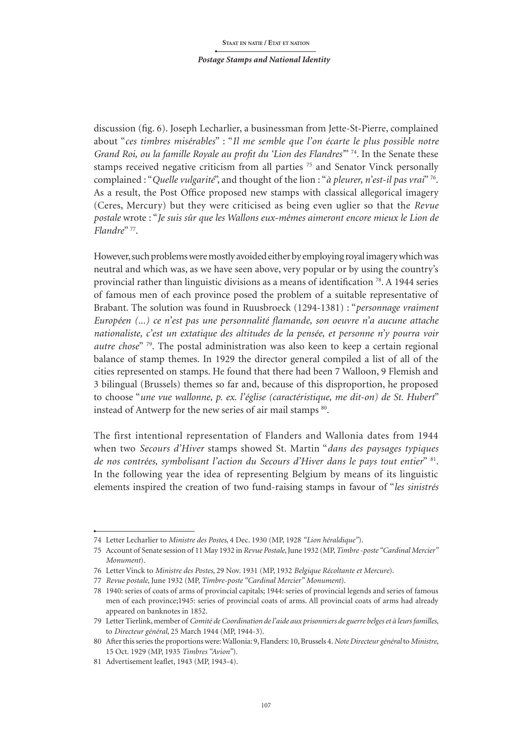discussion (fig. 6). Joseph Lecharlier, a businessman from Jette-St-Pierre, complained about "*ces timbres misérables*" : "*Il me semble que l'on écarte le plus possible notre Grand Roi, ou la famille Royale au profit du 'Lion des Flandres'*" 74. In the Senate these stamps received negative criticism from all parties <sup>75</sup> and Senator Vinck personally complained : "*Quelle vulgarité*", and thought of the lion : "*à pleurer, n'est-il pas vrai*" 76. As a result, the Post Office proposed new stamps with classical allegorical imagery (Ceres, Mercury) but they were criticised as being even uglier so that the *Revue postale* wrote : "*Je suis sûr que les Wallons eux-mêmes aimeront encore mieux le Lion de Flandre*" 77.

However, such problems were mostly avoided either by employing royal imagery which was neutral and which was, as we have seen above, very popular or by using the country's provincial rather than linguistic divisions as a means of identification 78. A 1944 series of famous men of each province posed the problem of a suitable representative of Brabant. The solution was found in Ruusbroeck (1294-1381) : "*personnage vraiment Européen (...) ce n'est pas une personnalité flamande, son oeuvre n'a aucune attache nationaliste, c'est un extatique des altitudes de la pensée, et personne n'y pourra voir autre chose*" 79. The postal administration was also keen to keep a certain regional balance of stamp themes. In 1929 the director general compiled a list of all of the cities represented on stamps. He found that there had been 7 Walloon, 9 Flemish and 3 bilingual (Brussels) themes so far and, because of this disproportion, he proposed to choose "*une vue wallonne, p. ex. l'église (caractéristique, me dit-on) de St. Hubert*" instead of Antwerp for the new series of air mail stamps 80.

The first intentional representation of Flanders and Wallonia dates from 1944 when two *Secours d'Hiver* stamps showed St. Martin "*dans des paysages typiques de nos contrées, symbolisant l'action du Secours d'Hiver dans le pays tout entier*" 81. In the following year the idea of representing Belgium by means of its linguistic elements inspired the creation of two fund-raising stamps in favour of "*les sinistrés*

<sup>74</sup> Letter Lecharlier to *Ministre des Postes*, 4 Dec. 1930 (MP, 1928 *"Lion héraldique"*).

<sup>75</sup> Account of Senate session of 11 May 1932 in *Revue Postale*, June 1932 (MP, *Timbre -poste "Cardinal Mercier" Monument*).

<sup>76</sup> Letter Vinck to *Ministre des Postes*, 29 Nov. 1931 (MP, 1932 *Belgique Récoltante et Mercure*).

<sup>77</sup> *Revue postale*, June 1932 (MP, *Timbre-poste "Cardinal Mercier" Monument*).

<sup>78</sup> 1940: series of coats of arms of provincial capitals; 1944: series of provincial legends and series of famous men of each province;1945: series of provincial coats of arms. All provincial coats of arms had already appeared on banknotes in 1852.

<sup>79</sup> Letter Tierlink, member of *Comité de Coordination de l'aide aux prisonniers de guerre belges et à leurs familles*, to *Directeur général*, 25 March 1944 (MP, 1944-3).

<sup>80</sup> After this series the proportions were: Wallonia: 9, Flanders: 10, Brussels 4. *Note Directeur général* to *Ministre*, 15 Oct. 1929 (MP, 1935 *Timbres "Avion"*).

<sup>81</sup> Advertisement leaflet, 1943 (MP, 1943-4).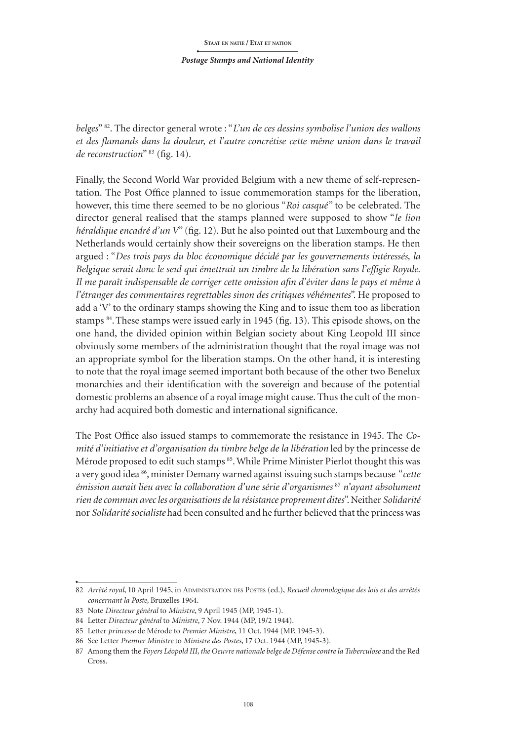*belges*" 82. The director general wrote : "*L'un de ces dessins symbolise l'union des wallons et des flamands dans la douleur, et l'autre concrétise cette même union dans le travail de reconstruction*" 83 (fig. 14).

Finally, the Second World War provided Belgium with a new theme of self-representation. The Post Office planned to issue commemoration stamps for the liberation, however, this time there seemed to be no glorious "*Roi casqué"* to be celebrated. The director general realised that the stamps planned were supposed to show "*le lion héraldique encadré d'un V*" (fig. 12). But he also pointed out that Luxembourg and the Netherlands would certainly show their sovereigns on the liberation stamps. He then argued : "*Des trois pays du bloc économique décidé par les gouvernements intéressés, la Belgique serait donc le seul qui émettrait un timbre de la libération sans l'effigie Royale. Il me paraît indispensable de corriger cette omission afin d'éviter dans le pays et même à l'étranger des commentaires regrettables sinon des critiques véhémentes*". He proposed to add a 'V' to the ordinary stamps showing the King and to issue them too as liberation stamps 84.These stamps were issued early in 1945 (fig. 13). This episode shows, on the one hand, the divided opinion within Belgian society about King Leopold III since obviously some members of the administration thought that the royal image was not an appropriate symbol for the liberation stamps. On the other hand, it is interesting to note that the royal image seemed important both because of the other two Benelux monarchies and their identification with the sovereign and because of the potential domestic problems an absence of a royal image might cause. Thus the cult of the monarchy had acquired both domestic and international significance.

The Post Office also issued stamps to commemorate the resistance in 1945. The *Comité d'initiative et d'organisation du timbre belge de la libération* led by the princesse de Mérode proposed to edit such stamps 85. While Prime Minister Pierlot thought this was a very good idea 86, minister Demany warned against issuing such stamps because "*cette émission aurait lieu avec la collaboration d'une série d'organismes* <sup>87</sup> *n'ayant absolument rien de commun avec les organisations de la résistance proprement dites*". Neither *Solidarité* nor *Solidarité socialiste* had been consulted and he further believed that the princess was

<sup>82</sup> *Arrêté royal*, 10 April 1945, in ADMINISTRATION DES POSTES (ed.), *Recueil chronologique des lois et des arrêtés concernant la Poste*, Bruxelles 1964.

<sup>83</sup> Note *Directeur général* to *Ministre*, 9 April 1945 (MP, 1945-1).

<sup>84</sup> Letter *Directeur général* to *Ministre*, 7 Nov. 1944 (MP, 19/2 1944).

<sup>85</sup> Letter *princesse* de Mérode to *Premier Ministre*, 11 Oct. 1944 (MP, 1945-3).

<sup>86</sup> See Letter *Premier Ministre* to *Ministre des Postes*, 17 Oct. 1944 (MP, 1945-3).

<sup>87</sup> Among them the *Foyers Léopold III*, *the Oeuvre nationale belge de Défense contre la Tuberculose* and the Red Cross.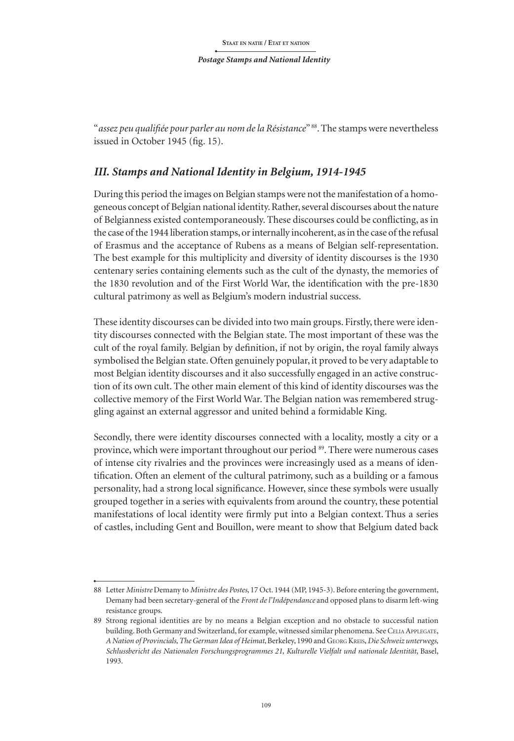"*assez peu qualifiée pour parler au nom dela Résistance*" 88. The stamps were nevertheless issued in October 1945 (fig. 15).

## *III. Stamps and National Identity in Belgium, 1914-1945*

During this period the images on Belgian stamps were not the manifestation of a homogeneous concept of Belgian national identity. Rather, several discourses about the nature of Belgianness existed contemporaneously. These discourses could be conflicting, as in the case of the 1944 liberation stamps, or internally incoherent, as in the case of the refusal of Erasmus and the acceptance of Rubens as a means of Belgian self-representation. The best example for this multiplicity and diversity of identity discourses is the 1930 centenary series containing elements such as the cult of the dynasty, the memories of the 1830 revolution and of the First World War, the identification with the pre-1830 cultural patrimony as well as Belgium's modern industrial success.

These identity discourses can be divided into two main groups. Firstly, there were identity discourses connected with the Belgian state. The most important of these was the cult of the royal family. Belgian by definition, if not by origin, the royal family always symbolised the Belgian state. Often genuinely popular, it proved to be very adaptable to most Belgian identity discourses and it also successfully engaged in an active construction of its own cult. The other main element of this kind of identity discourses was the collective memory of the First World War. The Belgian nation was remembered struggling against an external aggressor and united behind a formidable King.

Secondly, there were identity discourses connected with a locality, mostly a city or a province, which were important throughout our period 89. There were numerous cases of intense city rivalries and the provinces were increasingly used as a means of identification. Often an element of the cultural patrimony, such as a building or a famous personality, had a strong local significance. However, since these symbols were usually grouped together in a series with equivalents from around the country, these potential manifestations of local identity were firmly put into a Belgian context.Thus a series of castles, including Gent and Bouillon, were meant to show that Belgium dated back

<sup>88</sup> Letter *Ministre* Demany to *Ministre des Postes*, 17 Oct. 1944 (MP, 1945-3). Before entering the government, Demany had been secretary-general of the *Front de l'Indépendance* and opposed plans to disarm left-wing resistance groups.

<sup>89</sup> Strong regional identities are by no means a Belgian exception and no obstacle to successful nation building. Both Germany and Switzerland, for example, witnessed similar phenomena. See Celia Applegate, *A Nation of Provincials, The German Idea of Heimat*, Berkeley, 1990 and Georg Kreis, *Die Schweiz unterwegs, Schlussbericht des Nationalen Forschungsprogrammes 21, Kulturelle Vielfalt und nationale Identität*, Basel, 1993.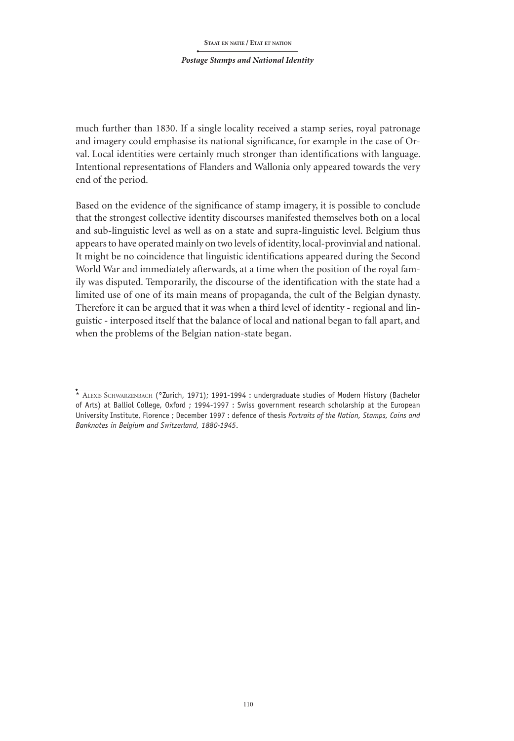#### *Postage Stamps and National Identity*

much further than 1830. If a single locality received a stamp series, royal patronage and imagery could emphasise its national significance, for example in the case of Orval. Local identities were certainly much stronger than identifications with language. Intentional representations of Flanders and Wallonia only appeared towards the very end of the period.

Based on the evidence of the significance of stamp imagery, it is possible to conclude that the strongest collective identity discourses manifested themselves both on a local and sub-linguistic level as well as on a state and supra-linguistic level. Belgium thus appears to have operated mainly on two levels of identity, local-provinvial and national. It might be no coincidence that linguistic identifications appeared during the Second World War and immediately afterwards, at a time when the position of the royal family was disputed. Temporarily, the discourse of the identification with the state had a limited use of one of its main means of propaganda, the cult of the Belgian dynasty. Therefore it can be argued that it was when a third level of identity - regional and linguistic - interposed itself that the balance of local and national began to fall apart, and when the problems of the Belgian nation-state began.

<sup>\*</sup> ALEXIS SCHWARZENBACH (°Zurich, 1971); 1991-1994 : undergraduate studies of Modern History (Bachelor of Arts) at Balliol College, Oxford ; 1994-1997 : Swiss government research scholarship at the European University Institute, Florence ; December 1997 : defence of thesis *Portraits of the Nation, Stamps, Coins and Banknotes in Belgium and Switzerland, 1880-1945*.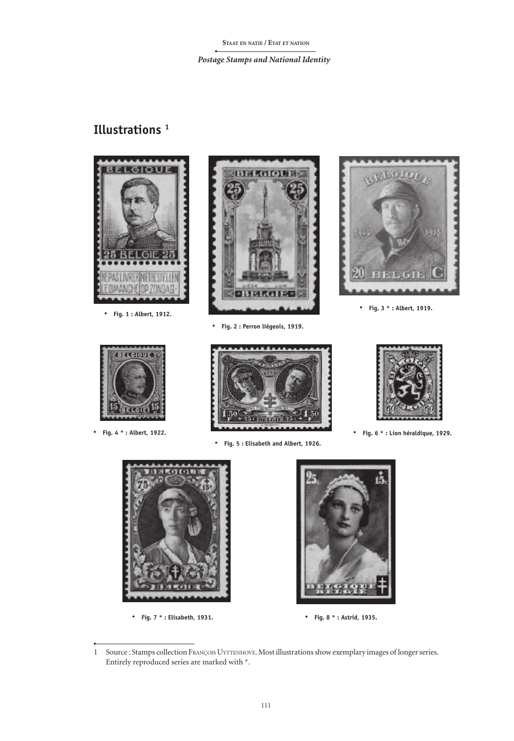# **Illustrations 1**





**Fig. 7 \* : Elisabeth, 1931. Fig. 8 \* : Astrid, 1935.**



<sup>1</sup> Source : Stamps collection FRANÇOIS UYTTENHOVE. Most illustrations show exemplary images of longer series. Entirely reproduced series are marked with \*.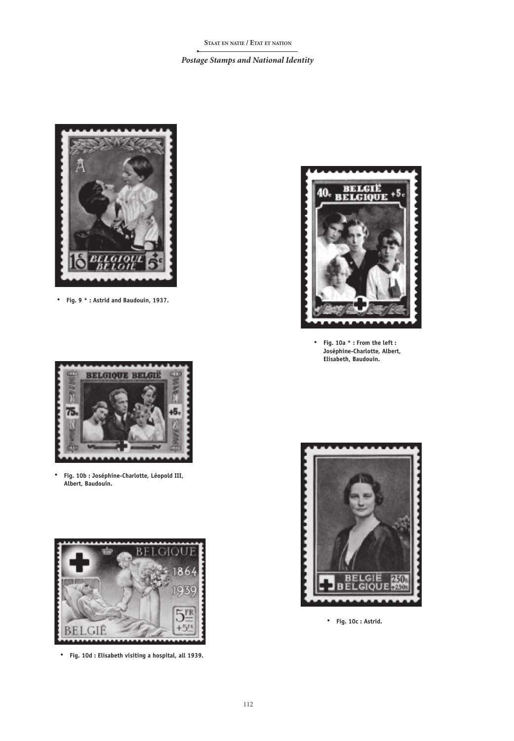

**Fig. 9 \* : Astrid and Baudouin, 1937.**



**Fig. 10b : Joséphine-Charlotte, Léopold III, Albert, Baudouin.**



**Fig. 10d : Elisabeth visiting a hospital, all 1939.**



**Fig. 10a \* : From the left : Joséphine-Charlotte, Albert, Elisabeth, Baudouin.**



**Fig. 10c : Astrid.**